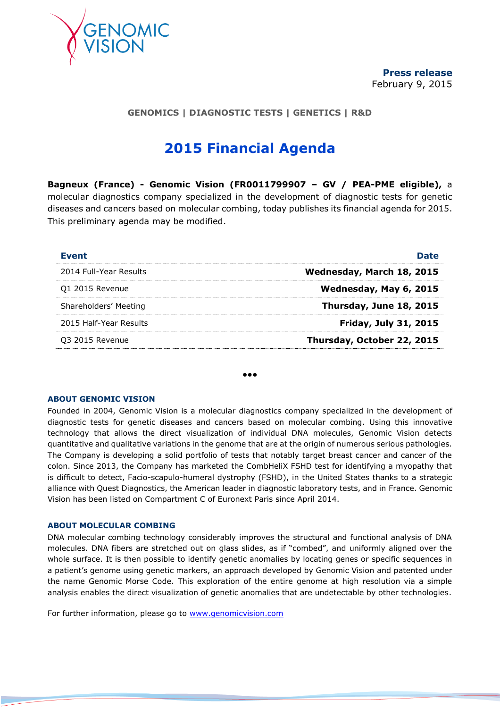

# **GENOMICS | DIAGNOSTIC TESTS | GENETICS | R&D**

# **2015 Financial Agenda**

**Bagneux (France) - Genomic Vision (FR0011799907 – GV / PEA-PME eligible),** a molecular diagnostics company specialized in the development of diagnostic tests for genetic diseases and cancers based on molecular combing, today publishes its financial agenda for 2015. This preliminary agenda may be modified.

| Event                  | <b>Date</b>                  |
|------------------------|------------------------------|
| 2014 Full-Year Results | Wednesday, March 18, 2015    |
| 01 2015 Revenue        | Wednesday, May 6, 2015       |
| Shareholders' Meeting  | Thursday, June 18, 2015      |
| 2015 Half-Year Results | <b>Friday, July 31, 2015</b> |
| 03 2015 Revenue        | Thursday, October 22, 2015   |

●●●

#### **ABOUT GENOMIC VISION**

Founded in 2004, Genomic Vision is a molecular diagnostics company specialized in the development of diagnostic tests for genetic diseases and cancers based on molecular combing. Using this innovative technology that allows the direct visualization of individual DNA molecules, Genomic Vision detects quantitative and qualitative variations in the genome that are at the origin of numerous serious pathologies. The Company is developing a solid portfolio of tests that notably target breast cancer and cancer of the colon. Since 2013, the Company has marketed the CombHeliX FSHD test for identifying a myopathy that is difficult to detect, Facio-scapulo-humeral dystrophy (FSHD), in the United States thanks to a strategic alliance with Quest Diagnostics, the American leader in diagnostic laboratory tests, and in France. Genomic Vision has been listed on Compartment C of Euronext Paris since April 2014.

### **ABOUT MOLECULAR COMBING**

DNA molecular combing technology considerably improves the structural and functional analysis of DNA molecules. DNA fibers are stretched out on glass slides, as if "combed", and uniformly aligned over the whole surface. It is then possible to identify genetic anomalies by locating genes or specific sequences in a patient's genome using genetic markers, an approach developed by Genomic Vision and patented under the name Genomic Morse Code. This exploration of the entire genome at high resolution via a simple analysis enables the direct visualization of genetic anomalies that are undetectable by other technologies.

For further information, please go to [www.genomicvision.com](http://www.genomicvision.com/)